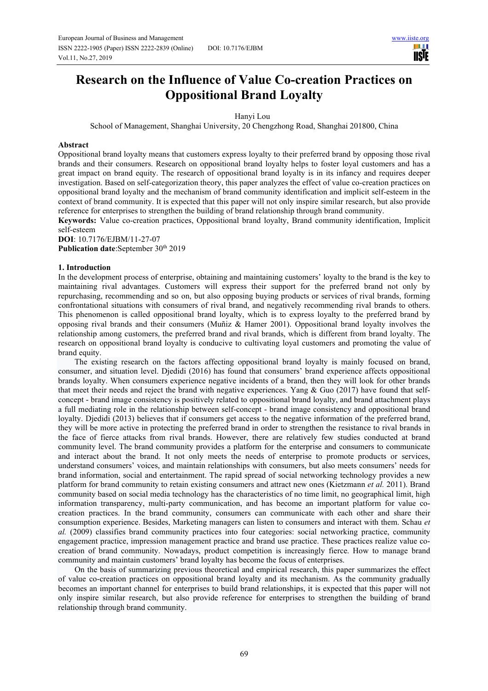шı **USIE** 

# **Research on the Influence of Value Co-creation Practices on Oppositional Brand Loyalty**

### Hanyi Lou

School of Management, Shanghai University, 20 Chengzhong Road, Shanghai 201800, China

### **Abstract**

Oppositional brand loyalty means that customers express loyalty to their preferred brand by opposing those rival brands and their consumers. Research on oppositional brand loyalty helps to foster loyal customers and has a great impact on brand equity. The research of oppositional brand loyalty is in its infancy and requires deeper investigation. Based on self-categorization theory, this paper analyzes the effect of value co-creation practices on oppositional brand loyalty and the mechanism of brand community identification and implicit self-esteem in the context of brand community. It is expected that this paper will not only inspire similar research, but also provide reference for enterprises to strengthen the building of brand relationship through brand community.

**Keywords:** Value co-creation practices, Oppositional brand loyalty, Brand community identification, Implicit self-esteem

**DOI**: 10.7176/EJBM/11-27-07 Publication date:September 30<sup>th</sup> 2019

## **1. Introduction**

In the development process of enterprise, obtaining and maintaining customers' loyalty to the brand is the key to maintaining rival advantages. Customers will express their support for the preferred brand not only by repurchasing, recommending and so on, but also opposing buying products or services of rival brands, forming confrontational situations with consumers of rival brand, and negatively recommending rival brands to others. This phenomenon is called oppositional brand loyalty, which is to express loyalty to the preferred brand by opposing rival brands and their consumers (Muñiz & Hamer 2001). Oppositional brand loyalty involves the relationship among customers, the preferred brand and rival brands, which is different from brand loyalty. The research on oppositional brand loyalty is conducive to cultivating loyal customers and promoting the value of brand equity.

The existing research on the factors affecting oppositional brand loyalty is mainly focused on brand, consumer, and situation level. Djedidi (2016) has found that consumers' brand experience affects oppositional brands loyalty. When consumers experience negative incidents of a brand, then they will look for other brands that meet their needs and reject the brand with negative experiences. Yang & Guo (2017) have found that selfconcept - brand image consistency is positively related to oppositional brand loyalty, and brand attachment plays a full mediating role in the relationship between self-concept - brand image consistency and oppositional brand loyalty. Djedidi (2013) believes that if consumers get access to the negative information of the preferred brand, they will be more active in protecting the preferred brand in order to strengthen the resistance to rival brands in the face of fierce attacks from rival brands. However, there are relatively few studies conducted at brand community level. The brand community provides a platform for the enterprise and consumers to communicate and interact about the brand. It not only meets the needs of enterprise to promote products or services, understand consumers' voices, and maintain relationships with consumers, but also meets consumers' needs for brand information, social and entertainment. The rapid spread of social networking technology provides a new platform for brand community to retain existing consumers and attract new ones (Kietzmann *et al.* 2011). Brand community based on social media technology has the characteristics of no time limit, no geographical limit, high information transparency, multi-party communication, and has become an important platform for value cocreation practices. In the brand community, consumers can communicate with each other and share their consumption experience. Besides, Marketing managers can listen to consumers and interact with them. Schau *et al.* (2009) classifies brand community practices into four categories: social networking practice, community engagement practice, impression management practice and brand use practice. These practices realize value cocreation of brand community. Nowadays, product competition is increasingly fierce. How to manage brand community and maintain customers' brand loyalty has become the focus of enterprises.

On the basis of summarizing previous theoretical and empirical research, this paper summarizes the effect of value co-creation practices on oppositional brand loyalty and its mechanism. As the community gradually becomes an important channel for enterprises to build brand relationships, it is expected that this paper will not only inspire similar research, but also provide reference for enterprises to strengthen the building of brand relationship through brand community.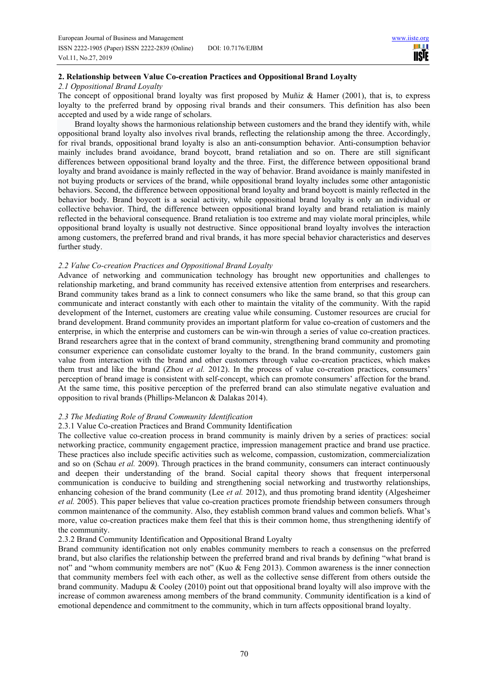шı **IISTE** 

# **2. Relationship between Value Co-creation Practices and Oppositional Brand Loyalty**

# *2.1 Oppositional Brand Loyalty*

The concept of oppositional brand loyalty was first proposed by Muñiz & Hamer (2001), that is, to express loyalty to the preferred brand by opposing rival brands and their consumers. This definition has also been accepted and used by a wide range of scholars.

Brand loyalty shows the harmonious relationship between customers and the brand they identify with, while oppositional brand loyalty also involves rival brands, reflecting the relationship among the three. Accordingly, for rival brands, oppositional brand loyalty is also an anti-consumption behavior. Anti-consumption behavior mainly includes brand avoidance, brand boycott, brand retaliation and so on. There are still significant differences between oppositional brand loyalty and the three. First, the difference between oppositional brand loyalty and brand avoidance is mainly reflected in the way of behavior. Brand avoidance is mainly manifested in not buying products or services of the brand, while oppositional brand loyalty includes some other antagonistic behaviors. Second, the difference between oppositional brand loyalty and brand boycott is mainly reflected in the behavior body. Brand boycott is a social activity, while oppositional brand loyalty is only an individual or collective behavior. Third, the difference between oppositional brand loyalty and brand retaliation is mainly reflected in the behavioral consequence. Brand retaliation is too extreme and may violate moral principles, while oppositional brand loyalty is usually not destructive. Since oppositional brand loyalty involves the interaction among customers, the preferred brand and rival brands, it has more special behavior characteristics and deserves further study.

## *2.2 Value Co-creation Practices and Oppositional Brand Loyalty*

Advance of networking and communication technology has brought new opportunities and challenges to relationship marketing, and brand community has received extensive attention from enterprises and researchers. Brand community takes brand as a link to connect consumers who like the same brand, so that this group can communicate and interact constantly with each other to maintain the vitality of the community. With the rapid development of the Internet, customers are creating value while consuming. Customer resources are crucial for brand development. Brand community provides an important platform for value co-creation of customers and the enterprise, in which the enterprise and customers can be win-win through a series of value co-creation practices. Brand researchers agree that in the context of brand community, strengthening brand community and promoting consumer experience can consolidate customer loyalty to the brand. In the brand community, customers gain value from interaction with the brand and other customers through value co-creation practices, which makes them trust and like the brand (Zhou *et al.* 2012). In the process of value co-creation practices, consumers' perception of brand image is consistent with self-concept, which can promote consumers' affection for the brand. At the same time, this positive perception of the preferred brand can also stimulate negative evaluation and opposition to rival brands (Phillips-Melancon & Dalakas 2014).

# *2.3 The Mediating Role of Brand Community Identification*

## 2.3.1 Value Co-creation Practices and Brand Community Identification

The collective value co-creation process in brand community is mainly driven by a series of practices: social networking practice, community engagement practice, impression management practice and brand use practice. These practices also include specific activities such as welcome, compassion, customization, commercialization and so on (Schau *et al.* 2009). Through practices in the brand community, consumers can interact continuously and deepen their understanding of the brand. Social capital theory shows that frequent interpersonal communication is conducive to building and strengthening social networking and trustworthy relationships, enhancing cohesion of the brand community (Lee *et al.* 2012), and thus promoting brand identity (Algesheimer *et al.* 2005). This paper believes that value co-creation practices promote friendship between consumers through common maintenance of the community. Also, they establish common brand values and common beliefs. What's more, value co-creation practices make them feel that this is their common home, thus strengthening identify of the community.

# 2.3.2 Brand Community Identification and Oppositional Brand Loyalty

Brand community identification not only enables community members to reach a consensus on the preferred brand, but also clarifies the relationship between the preferred brand and rival brands by defining "what brand is not" and "whom community members are not" (Kuo & Feng 2013). Common awareness is the inner connection that community members feel with each other, as well as the collective sense different from others outside the brand community. Madupu & Cooley (2010) point out that oppositional brand loyalty will also improve with the increase of common awareness among members of the brand community. Community identification is a kind of emotional dependence and commitment to the community, which in turn affects oppositional brand loyalty.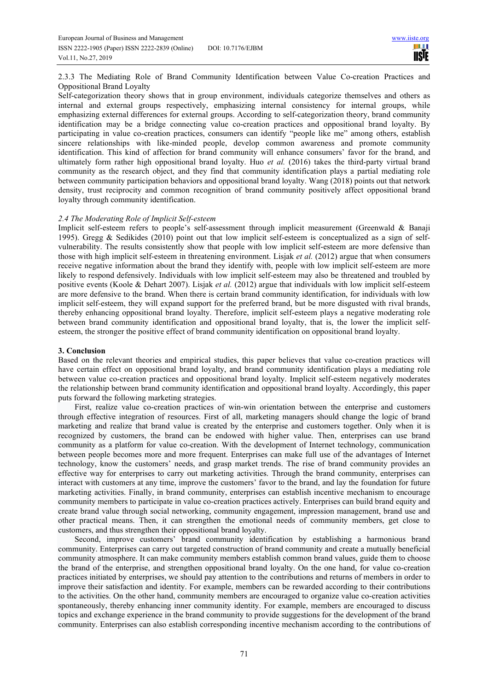2.3.3 The Mediating Role of Brand Community Identification between Value Co-creation Practices and Oppositional Brand Loyalty

Self-categorization theory shows that in group environment, individuals categorize themselves and others as internal and external groups respectively, emphasizing internal consistency for internal groups, while emphasizing external differences for external groups. According to self-categorization theory, brand community identification may be a bridge connecting value co-creation practices and oppositional brand loyalty. By participating in value co-creation practices, consumers can identify "people like me" among others, establish sincere relationships with like-minded people, develop common awareness and promote community identification. This kind of affection for brand community will enhance consumers' favor for the brand, and ultimately form rather high oppositional brand loyalty. Huo *et al.* (2016) takes the third-party virtual brand community as the research object, and they find that community identification plays a partial mediating role between community participation behaviors and oppositional brand loyalty. Wang (2018) points out that network density, trust reciprocity and common recognition of brand community positively affect oppositional brand loyalty through community identification.

### *2.4 The Moderating Role of Implicit Self-esteem*

Implicit self-esteem refers to people's self-assessment through implicit measurement (Greenwald & Banaji 1995). Gregg & Sedikides (2010) point out that low implicit self-esteem is conceptualized as a sign of selfvulnerability. The results consistently show that people with low implicit self-esteem are more defensive than those with high implicit self-esteem in threatening environment. Lisjak *et al.* (2012) argue that when consumers receive negative information about the brand they identify with, people with low implicit self-esteem are more likely to respond defensively. Individuals with low implicit self-esteem may also be threatened and troubled by positive events (Koole & Dehart 2007). Lisjak *et al.* (2012) argue that individuals with low implicit self-esteem are more defensive to the brand. When there is certain brand community identification, for individuals with low implicit self-esteem, they will expand support for the preferred brand, but be more disgusted with rival brands, thereby enhancing oppositional brand loyalty. Therefore, implicit self-esteem plays a negative moderating role between brand community identification and oppositional brand loyalty, that is, the lower the implicit selfesteem, the stronger the positive effect of brand community identification on oppositional brand loyalty.

### **3. Conclusion**

Based on the relevant theories and empirical studies, this paper believes that value co-creation practices will have certain effect on oppositional brand loyalty, and brand community identification plays a mediating role between value co-creation practices and oppositional brand loyalty. Implicit self-esteem negatively moderates the relationship between brand community identification and oppositional brand loyalty. Accordingly, this paper puts forward the following marketing strategies.

First, realize value co-creation practices of win-win orientation between the enterprise and customers through effective integration of resources. First of all, marketing managers should change the logic of brand marketing and realize that brand value is created by the enterprise and customers together. Only when it is recognized by customers, the brand can be endowed with higher value. Then, enterprises can use brand community as a platform for value co-creation. With the development of Internet technology, communication between people becomes more and more frequent. Enterprises can make full use of the advantages of Internet technology, know the customers' needs, and grasp market trends. The rise of brand community provides an effective way for enterprises to carry out marketing activities. Through the brand community, enterprises can interact with customers at any time, improve the customers' favor to the brand, and lay the foundation for future marketing activities. Finally, in brand community, enterprises can establish incentive mechanism to encourage community members to participate in value co-creation practices actively. Enterprises can build brand equity and create brand value through social networking, community engagement, impression management, brand use and other practical means. Then, it can strengthen the emotional needs of community members, get close to customers, and thus strengthen their oppositional brand loyalty.

Second, improve customers' brand community identification by establishing a harmonious brand community. Enterprises can carry out targeted construction of brand community and create a mutually beneficial community atmosphere. It can make community members establish common brand values, guide them to choose the brand of the enterprise, and strengthen oppositional brand loyalty. On the one hand, for value co-creation practices initiated by enterprises, we should pay attention to the contributions and returns of members in order to improve their satisfaction and identity. For example, members can be rewarded according to their contributions to the activities. On the other hand, community members are encouraged to organize value co-creation activities spontaneously, thereby enhancing inner community identity. For example, members are encouraged to discuss topics and exchange experience in the brand community to provide suggestions for the development of the brand community. Enterprises can also establish corresponding incentive mechanism according to the contributions of